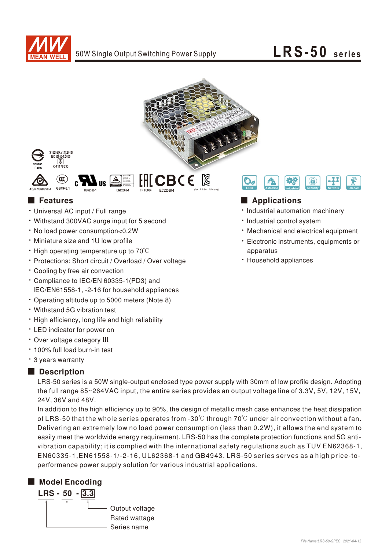







- Universal AC input / Full range
- Withstand 300VAC surge input for 5 second
- No load power consumption<0.2W
- Miniature size and 1U low profile
- High operating temperature up to 70°C
- Protections: Short circuit / Overload / Over voltage
- Cooling by free air convection
- \* Compliance to IEC/EN 60335-1(PD3) and IEC/EN61558-1, -2-16 for household appliances
- Operating altitude up to 5000 meters (Note.8)
- Withstand 5G vibration test
- High efficiency, long life and high reliability
- LED indicator for power on
- Over voltage category III
- 100% full load burn-in test
- 3 years warranty

### Description

LRS-50 series is a 50W single-output enclosed type power supply with 30mm of low profile design. Adopting the full range 85~264VAC input, the entire series provides an output voltage line of 3.3V, 5V, 12V, 15V, 24V. 36V and 48V.

easily meet the worldwide energy requirement. LRS-50 has the complete protection functions and 5G antivibration capability; it is complied with the international safety regulations such as TUV EN62368-1, In addition to the high efficiency up to 90%, the design of metallic mesh case enhances the heat dissipation of LRS-50 that the whole series operates from -30°C through 70°C under air convection without a fan. Delivering an extremely low no load power consumption (less than 0.2W), it allows the end system to EN60335-1, EN61558-1/-2-16, UL62368-1 and GB4943. LRS-50 series serves as a high price-toperformance power supply solution for various industrial applications.

## ■ Model Encoding





## ■ Features ■ Pressure and Pressure and Pressure and Pressure and Pressure and Pressure and Pressure and Pressure and Pressure and Pressure and Pressure and Pressure and Pressure and Pressure and Pressure and Pressure and

- · Industrial automation machinery
- · Industrial control system
- Mechanical and electrical equipment
- Electronic instruments, equipments or apparatus
- Household appliances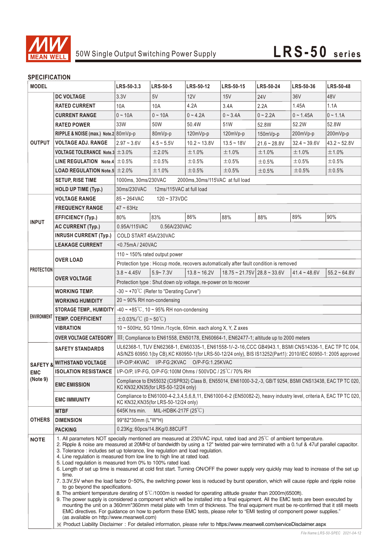

### **SPECIFICATION**

| <b>JELUIFIUAI IUN</b><br><b>MODEL</b>         |                                                                                                                                                                                                                                                                                                                                                                                                                                                                                                                                                                                                                                                                                                                                                                                                                                                                                                                                                                                                                                                                                                                                                                                                                                                                                                                                                                                                                                  | LRS-50-3.3                                                                                                                                                                                                            | <b>LRS-50-5</b> | <b>LRS-50-12</b> | <b>LRS-50-15</b> | <b>LRS-50-24</b>                                            | <b>LRS-50-36</b> | <b>LRS-50-48</b>  |  |
|-----------------------------------------------|----------------------------------------------------------------------------------------------------------------------------------------------------------------------------------------------------------------------------------------------------------------------------------------------------------------------------------------------------------------------------------------------------------------------------------------------------------------------------------------------------------------------------------------------------------------------------------------------------------------------------------------------------------------------------------------------------------------------------------------------------------------------------------------------------------------------------------------------------------------------------------------------------------------------------------------------------------------------------------------------------------------------------------------------------------------------------------------------------------------------------------------------------------------------------------------------------------------------------------------------------------------------------------------------------------------------------------------------------------------------------------------------------------------------------------|-----------------------------------------------------------------------------------------------------------------------------------------------------------------------------------------------------------------------|-----------------|------------------|------------------|-------------------------------------------------------------|------------------|-------------------|--|
|                                               | <b>DC VOLTAGE</b>                                                                                                                                                                                                                                                                                                                                                                                                                                                                                                                                                                                                                                                                                                                                                                                                                                                                                                                                                                                                                                                                                                                                                                                                                                                                                                                                                                                                                | 3.3V                                                                                                                                                                                                                  | 5V              | 12V              | 15V              | <b>24V</b>                                                  | 36 <sub>V</sub>  | 48V               |  |
|                                               | <b>RATED CURRENT</b>                                                                                                                                                                                                                                                                                                                                                                                                                                                                                                                                                                                                                                                                                                                                                                                                                                                                                                                                                                                                                                                                                                                                                                                                                                                                                                                                                                                                             | 10A                                                                                                                                                                                                                   | 10A             | 4.2A             | 3.4A             | 2.2A                                                        | 1.45A            | 1.1A              |  |
|                                               | <b>CURRENT RANGE</b>                                                                                                                                                                                                                                                                                                                                                                                                                                                                                                                                                                                                                                                                                                                                                                                                                                                                                                                                                                                                                                                                                                                                                                                                                                                                                                                                                                                                             | $0 - 10A$                                                                                                                                                                                                             | $0 - 10A$       | $0 - 4.2A$       | $0 - 3.4A$       | $0 - 2.2A$                                                  | $0 - 1.45A$      | $0 - 1.1A$        |  |
|                                               | <b>RATED POWER</b>                                                                                                                                                                                                                                                                                                                                                                                                                                                                                                                                                                                                                                                                                                                                                                                                                                                                                                                                                                                                                                                                                                                                                                                                                                                                                                                                                                                                               | 33W                                                                                                                                                                                                                   | 50W             | 50.4W            | 51W              | 52.8W                                                       | 52.2W            | 52.8W             |  |
| <b>OUTPUT</b>                                 | RIPPLE & NOISE (max.) Note.2 80mVp-p                                                                                                                                                                                                                                                                                                                                                                                                                                                                                                                                                                                                                                                                                                                                                                                                                                                                                                                                                                                                                                                                                                                                                                                                                                                                                                                                                                                             |                                                                                                                                                                                                                       | 80mVp-p         | 120mVp-p         | 120mVp-p         | 150mVp-p                                                    | 200mVp-p         | 200mVp-p          |  |
|                                               | <b>VOLTAGE ADJ. RANGE</b>                                                                                                                                                                                                                                                                                                                                                                                                                                                                                                                                                                                                                                                                                                                                                                                                                                                                                                                                                                                                                                                                                                                                                                                                                                                                                                                                                                                                        | $2.97 - 3.6V$                                                                                                                                                                                                         | $4.5 - 5.5V$    | $10.2 - 13.8V$   | $13.5 - 18V$     | $21.6 - 28.8V$                                              | $32.4 - 39.6V$   | $43.2 - 52.8V$    |  |
|                                               | <code>VOLTAGE</code> <code>TOLERANCE</code> <code>Note.3</code> $\pm$ 3.0%                                                                                                                                                                                                                                                                                                                                                                                                                                                                                                                                                                                                                                                                                                                                                                                                                                                                                                                                                                                                                                                                                                                                                                                                                                                                                                                                                       |                                                                                                                                                                                                                       | ±2.0%           | $±1.0\%$         | ±1.0%            | ±1.0%                                                       | ±1.0%            | ±1.0%             |  |
|                                               | LINE REGULATION Note.4 $\pm$ 0.5%                                                                                                                                                                                                                                                                                                                                                                                                                                                                                                                                                                                                                                                                                                                                                                                                                                                                                                                                                                                                                                                                                                                                                                                                                                                                                                                                                                                                |                                                                                                                                                                                                                       | ±0.5%           | ±0.5%            | $\pm 0.5\%$      | ±0.5%                                                       | ±0.5%            | $\pm 0.5\%$       |  |
|                                               | <b>LOAD REGULATION Note.5 <math>\pm 2.0\%</math></b>                                                                                                                                                                                                                                                                                                                                                                                                                                                                                                                                                                                                                                                                                                                                                                                                                                                                                                                                                                                                                                                                                                                                                                                                                                                                                                                                                                             |                                                                                                                                                                                                                       | ±1.0%           | ±0.5%            | $\pm 0.5\%$      | ±0.5%                                                       | ±0.5%            | ±0.5%             |  |
|                                               | <b>SETUP, RISE TIME</b>                                                                                                                                                                                                                                                                                                                                                                                                                                                                                                                                                                                                                                                                                                                                                                                                                                                                                                                                                                                                                                                                                                                                                                                                                                                                                                                                                                                                          | 1000ms, 30ms/230VAC<br>2000ms, 30ms/115VAC at full load                                                                                                                                                               |                 |                  |                  |                                                             |                  |                   |  |
|                                               | <b>HOLD UP TIME (Typ.)</b>                                                                                                                                                                                                                                                                                                                                                                                                                                                                                                                                                                                                                                                                                                                                                                                                                                                                                                                                                                                                                                                                                                                                                                                                                                                                                                                                                                                                       | 30ms/230VAC<br>12ms/115VAC at full load                                                                                                                                                                               |                 |                  |                  |                                                             |                  |                   |  |
|                                               | <b>VOLTAGE RANGE</b><br>$85 - 264$ VAC<br>$120 - 373$ VDC                                                                                                                                                                                                                                                                                                                                                                                                                                                                                                                                                                                                                                                                                                                                                                                                                                                                                                                                                                                                                                                                                                                                                                                                                                                                                                                                                                        |                                                                                                                                                                                                                       |                 |                  |                  |                                                             |                  |                   |  |
|                                               | <b>FREQUENCY RANGE</b>                                                                                                                                                                                                                                                                                                                                                                                                                                                                                                                                                                                                                                                                                                                                                                                                                                                                                                                                                                                                                                                                                                                                                                                                                                                                                                                                                                                                           | $47 - 63$ Hz                                                                                                                                                                                                          |                 |                  |                  |                                                             |                  |                   |  |
|                                               | <b>EFFICIENCY (Typ.)</b>                                                                                                                                                                                                                                                                                                                                                                                                                                                                                                                                                                                                                                                                                                                                                                                                                                                                                                                                                                                                                                                                                                                                                                                                                                                                                                                                                                                                         | 80%                                                                                                                                                                                                                   | 83%             | 86%              | 88%              | 88%                                                         | 89%              | 90%               |  |
| <b>INPUT</b>                                  | <b>AC CURRENT (Typ.)</b>                                                                                                                                                                                                                                                                                                                                                                                                                                                                                                                                                                                                                                                                                                                                                                                                                                                                                                                                                                                                                                                                                                                                                                                                                                                                                                                                                                                                         | 0.95A/115VAC                                                                                                                                                                                                          | 0.56A/230VAC    |                  |                  |                                                             |                  |                   |  |
|                                               | <b>INRUSH CURRENT (Typ.)</b>                                                                                                                                                                                                                                                                                                                                                                                                                                                                                                                                                                                                                                                                                                                                                                                                                                                                                                                                                                                                                                                                                                                                                                                                                                                                                                                                                                                                     | COLD START 45A/230VAC                                                                                                                                                                                                 |                 |                  |                  |                                                             |                  |                   |  |
|                                               | <b>LEAKAGE CURRENT</b>                                                                                                                                                                                                                                                                                                                                                                                                                                                                                                                                                                                                                                                                                                                                                                                                                                                                                                                                                                                                                                                                                                                                                                                                                                                                                                                                                                                                           | <0.75mA/240VAC                                                                                                                                                                                                        |                 |                  |                  |                                                             |                  |                   |  |
|                                               | <b>OVER LOAD</b>                                                                                                                                                                                                                                                                                                                                                                                                                                                                                                                                                                                                                                                                                                                                                                                                                                                                                                                                                                                                                                                                                                                                                                                                                                                                                                                                                                                                                 | 110 ~ 150% rated output power                                                                                                                                                                                         |                 |                  |                  |                                                             |                  |                   |  |
|                                               |                                                                                                                                                                                                                                                                                                                                                                                                                                                                                                                                                                                                                                                                                                                                                                                                                                                                                                                                                                                                                                                                                                                                                                                                                                                                                                                                                                                                                                  | Protection type : Hiccup mode, recovers automatically after fault condition is removed                                                                                                                                |                 |                  |                  |                                                             |                  |                   |  |
| <b>PROTECTION</b>                             | <b>OVER VOLTAGE</b>                                                                                                                                                                                                                                                                                                                                                                                                                                                                                                                                                                                                                                                                                                                                                                                                                                                                                                                                                                                                                                                                                                                                                                                                                                                                                                                                                                                                              | $3.8 - 4.45V$                                                                                                                                                                                                         | $5.9 - 7.3V$    | $13.8 - 16.2V$   |                  | $18.75 \approx 21.75 \text{V}$ 28.8 $\approx 33.6 \text{V}$ | $41.4 - 48.6V$   | $55.2 \div 64.8V$ |  |
|                                               |                                                                                                                                                                                                                                                                                                                                                                                                                                                                                                                                                                                                                                                                                                                                                                                                                                                                                                                                                                                                                                                                                                                                                                                                                                                                                                                                                                                                                                  | Protection type : Shut down o/p voltage, re-power on to recover                                                                                                                                                       |                 |                  |                  |                                                             |                  |                   |  |
| <b>ENVIRONMENT</b>                            | WORKING TEMP.                                                                                                                                                                                                                                                                                                                                                                                                                                                                                                                                                                                                                                                                                                                                                                                                                                                                                                                                                                                                                                                                                                                                                                                                                                                                                                                                                                                                                    | $-30 \sim +70^{\circ}$ C (Refer to "Derating Curve")                                                                                                                                                                  |                 |                  |                  |                                                             |                  |                   |  |
|                                               | <b>WORKING HUMIDITY</b>                                                                                                                                                                                                                                                                                                                                                                                                                                                                                                                                                                                                                                                                                                                                                                                                                                                                                                                                                                                                                                                                                                                                                                                                                                                                                                                                                                                                          | 20~90% RH non-condensing                                                                                                                                                                                              |                 |                  |                  |                                                             |                  |                   |  |
|                                               | <b>STORAGE TEMP., HUMIDITY</b>                                                                                                                                                                                                                                                                                                                                                                                                                                                                                                                                                                                                                                                                                                                                                                                                                                                                                                                                                                                                                                                                                                                                                                                                                                                                                                                                                                                                   | $-40 \sim +85^{\circ}$ C, 10 ~ 95% RH non-condensing                                                                                                                                                                  |                 |                  |                  |                                                             |                  |                   |  |
|                                               | <b>TEMP. COEFFICIENT</b>                                                                                                                                                                                                                                                                                                                                                                                                                                                                                                                                                                                                                                                                                                                                                                                                                                                                                                                                                                                                                                                                                                                                                                                                                                                                                                                                                                                                         | $\pm$ 0.03%/°C (0 ~ 50°C)                                                                                                                                                                                             |                 |                  |                  |                                                             |                  |                   |  |
|                                               | VIBRATION                                                                                                                                                                                                                                                                                                                                                                                                                                                                                                                                                                                                                                                                                                                                                                                                                                                                                                                                                                                                                                                                                                                                                                                                                                                                                                                                                                                                                        | $10 \sim 500$ Hz, 5G 10min./1cycle, 60min. each along X, Y, Z axes                                                                                                                                                    |                 |                  |                  |                                                             |                  |                   |  |
|                                               | <b>OVER VOLTAGE CATEGORY</b>                                                                                                                                                                                                                                                                                                                                                                                                                                                                                                                                                                                                                                                                                                                                                                                                                                                                                                                                                                                                                                                                                                                                                                                                                                                                                                                                                                                                     | III; Compliance to EN61558, EN50178, EN60664-1, EN62477-1; altitude up to 2000 meters                                                                                                                                 |                 |                  |                  |                                                             |                  |                   |  |
| <b>SAFETY &amp;</b><br><b>EMC</b><br>(Note 9) | <b>SAFETY STANDARDS</b>                                                                                                                                                                                                                                                                                                                                                                                                                                                                                                                                                                                                                                                                                                                                                                                                                                                                                                                                                                                                                                                                                                                                                                                                                                                                                                                                                                                                          | UL62368-1, TUV EN62368-1, EN60335-1, EN61558-1/-2-16, CCC GB4943.1, BSMI CNS14336-1, EAC TP TC 004,<br>AS/NZS 60950.1(by CB), KC K60950-1(for LRS-50-12/24 only), BIS IS13252(Part1): 2010/IEC 60950-1: 2005 approved |                 |                  |                  |                                                             |                  |                   |  |
|                                               | <b>WITHSTAND VOLTAGE</b>                                                                                                                                                                                                                                                                                                                                                                                                                                                                                                                                                                                                                                                                                                                                                                                                                                                                                                                                                                                                                                                                                                                                                                                                                                                                                                                                                                                                         | I/P-O/P:4KVAC I/P-FG:2KVAC O/P-FG:1.25KVAC                                                                                                                                                                            |                 |                  |                  |                                                             |                  |                   |  |
|                                               |                                                                                                                                                                                                                                                                                                                                                                                                                                                                                                                                                                                                                                                                                                                                                                                                                                                                                                                                                                                                                                                                                                                                                                                                                                                                                                                                                                                                                                  | ISOLATION RESISTANCE   I/P-O/P, I/P-FG, O/P-FG:100M Ohms / 500VDC / 25°C/70% RH                                                                                                                                       |                 |                  |                  |                                                             |                  |                   |  |
|                                               | <b>EMC EMISSION</b>                                                                                                                                                                                                                                                                                                                                                                                                                                                                                                                                                                                                                                                                                                                                                                                                                                                                                                                                                                                                                                                                                                                                                                                                                                                                                                                                                                                                              | Compliance to EN55032 (CISPR32) Class B, EN55014, EN61000-3-2,-3, GB/T 9254, BSMI CNS13438, EAC TP TC 020,<br>KC KN32, KN35 (for LRS-50-12/24 only)                                                                   |                 |                  |                  |                                                             |                  |                   |  |
|                                               | <b>EMC IMMUNITY</b>                                                                                                                                                                                                                                                                                                                                                                                                                                                                                                                                                                                                                                                                                                                                                                                                                                                                                                                                                                                                                                                                                                                                                                                                                                                                                                                                                                                                              | Compliance to EN61000-4-2,3,4,5,6,8,11, EN61000-6-2 (EN50082-2), heavy industry level, criteria A, EAC TP TC 020,<br>KC KN32, KN35 (for LRS-50-12/24 only)                                                            |                 |                  |                  |                                                             |                  |                   |  |
|                                               | <b>MTBF</b>                                                                                                                                                                                                                                                                                                                                                                                                                                                                                                                                                                                                                                                                                                                                                                                                                                                                                                                                                                                                                                                                                                                                                                                                                                                                                                                                                                                                                      | MIL-HDBK-217F $(25^{\circ}C)$<br>645K hrs min.                                                                                                                                                                        |                 |                  |                  |                                                             |                  |                   |  |
| <b>OTHERS</b>                                 | <b>DIMENSION</b>                                                                                                                                                                                                                                                                                                                                                                                                                                                                                                                                                                                                                                                                                                                                                                                                                                                                                                                                                                                                                                                                                                                                                                                                                                                                                                                                                                                                                 | 99*82*30mm (L*W*H)                                                                                                                                                                                                    |                 |                  |                  |                                                             |                  |                   |  |
|                                               | <b>PACKING</b>                                                                                                                                                                                                                                                                                                                                                                                                                                                                                                                                                                                                                                                                                                                                                                                                                                                                                                                                                                                                                                                                                                                                                                                                                                                                                                                                                                                                                   | 0.23Kg; 60pcs/14.8Kg/0.88CUFT                                                                                                                                                                                         |                 |                  |                  |                                                             |                  |                   |  |
| <b>NOTE</b>                                   | 1. All parameters NOT specially mentioned are measured at 230VAC input, rated load and 25 <sup>°</sup> C of ambient temperature.<br>2. Ripple & noise are measured at 20MHz of bandwidth by using a 12" twisted pair-wire terminated with a 0.1uf & 47uf parallel capacitor.<br>3. Tolerance : includes set up tolerance, line regulation and load regulation.<br>4. Line regulation is measured from low line to high line at rated load.<br>5. Load regulation is measured from 0% to 100% rated load.<br>6. Length of set up time is measured at cold first start. Turning ON/OFF the power supply very quickly may lead to increase of the set up<br>time.<br>7. 3.3V,5V when the load factor 0~50%, the switching power less is reduced by burst operation, which will cause ripple and ripple noise<br>to go beyond the specifications.<br>8. The ambient temperature derating of $5^{\circ}$ (1000m is needed for operating altitude greater than 2000m(6500ft).<br>9. The power supply is considered a component which will be installed into a final equipment. All the EMC tests are been executed by<br>mounting the unit on a 360mm*360mm metal plate with 1mm of thickness. The final equipment must be re-confirmed that it still meets<br>EMC directives. For guidance on how to perform these EMC tests, please refer to "EMI testing of component power supplies."<br>(as available on http://www.meanwell.com) |                                                                                                                                                                                                                       |                 |                  |                  |                                                             |                  |                   |  |
|                                               |                                                                                                                                                                                                                                                                                                                                                                                                                                                                                                                                                                                                                                                                                                                                                                                                                                                                                                                                                                                                                                                                                                                                                                                                                                                                                                                                                                                                                                  | ※ Product Liability Disclaimer: For detailed information, please refer to https://www.meanwell.com/serviceDisclaimer.aspx                                                                                             |                 |                  |                  |                                                             |                  |                   |  |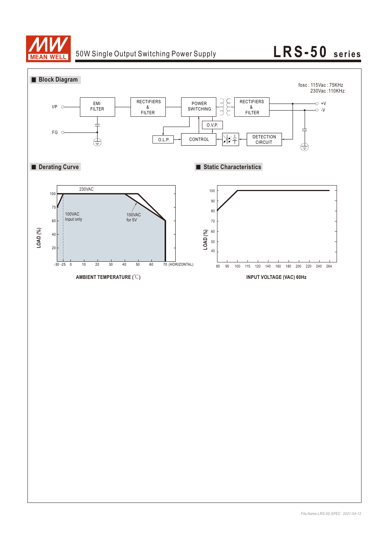

# 50W Single Output Switching Power Supply **LRS-50** series